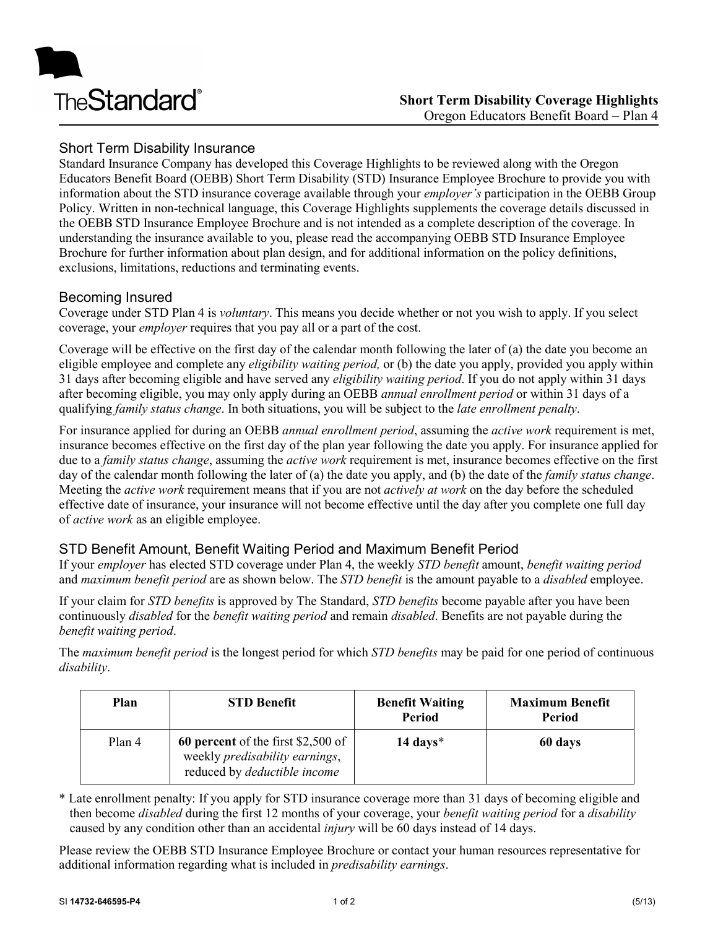

# Short Term Disability Insurance

Standard Insurance Company has developed this Coverage Highlights to be reviewed along with the Oregon Educators Benefit Board (OEBB) Short Term Disability (STD) Insurance Employee Brochure to provide you with information about the STD insurance coverage available through your *employer's* participation in the OEBB Group Policy. Written in non-technical language, this Coverage Highlights supplements the coverage details discussed in the OEBB STD Insurance Employee Brochure and is not intended as a complete description of the coverage. In understanding the insurance available to you, please read the accompanying OEBB STD Insurance Employee Brochure for further information about plan design, and for additional information on the policy definitions, exclusions, limitations, reductions and terminating events.

### Becoming Insured

Coverage under STD Plan 4 is *voluntary*. This means you decide whether or not you wish to apply. If you select coverage, your *employer* requires that you pay all or a part of the cost.

Coverage will be effective on the first day of the calendar month following the later of (a) the date you become an eligible employee and complete any *eligibility waiting period,* or (b) the date you apply, provided you apply within 31 days after becoming eligible and have served any *eligibility waiting period*. If you do not apply within 31 days after becoming eligible, you may only apply during an OEBB *annual enrollment period* or within 31 days of a qualifying *family status change*. In both situations, you will be subject to the *late enrollment penalty*.

For insurance applied for during an OEBB *annual enrollment period*, assuming the *active work* requirement is met, insurance becomes effective on the first day of the plan year following the date you apply. For insurance applied for due to a *family status change*, assuming the *active work* requirement is met, insurance becomes effective on the first day of the calendar month following the later of (a) the date you apply, and (b) the date of the *family status change*. Meeting the *active work* requirement means that if you are not *actively at work* on the day before the scheduled effective date of insurance, your insurance will not become effective until the day after you complete one full day of *active work* as an eligible employee.

## STD Benefit Amount, Benefit Waiting Period and Maximum Benefit Period

If your *employer* has elected STD coverage under Plan 4, the weekly *STD benefit* amount, *benefit waiting period* and *maximum benefit period* are as shown below. The *STD benefit* is the amount payable to a *disabled* employee.

If your claim for *STD benefits* is approved by The Standard, *STD benefits* become payable after you have been continuously *disabled* for the *benefit waiting period* and remain *disabled*. Benefits are not payable during the *benefit waiting period*.

The *maximum benefit period* is the longest period for which *STD benefits* may be paid for one period of continuous *disability*.

| Plan   | <b>STD Benefit</b>                                                                                          | <b>Benefit Waiting</b><br>Period | <b>Maximum Benefit</b><br>Period |
|--------|-------------------------------------------------------------------------------------------------------------|----------------------------------|----------------------------------|
| Plan 4 | 60 percent of the first \$2,500 of<br>weekly predisability earnings,<br>reduced by <i>deductible income</i> | $14 \text{ days}$ *              | 60 days                          |

\* Late enrollment penalty: If you apply for STD insurance coverage more than 31 days of becoming eligible and then become *disabled* during the first 12 months of your coverage, your *benefit waiting period* for a *disability* caused by any condition other than an accidental *injury* will be 60 days instead of 14 days.

Please review the OEBB STD Insurance Employee Brochure or contact your human resources representative for additional information regarding what is included in *predisability earnings*.